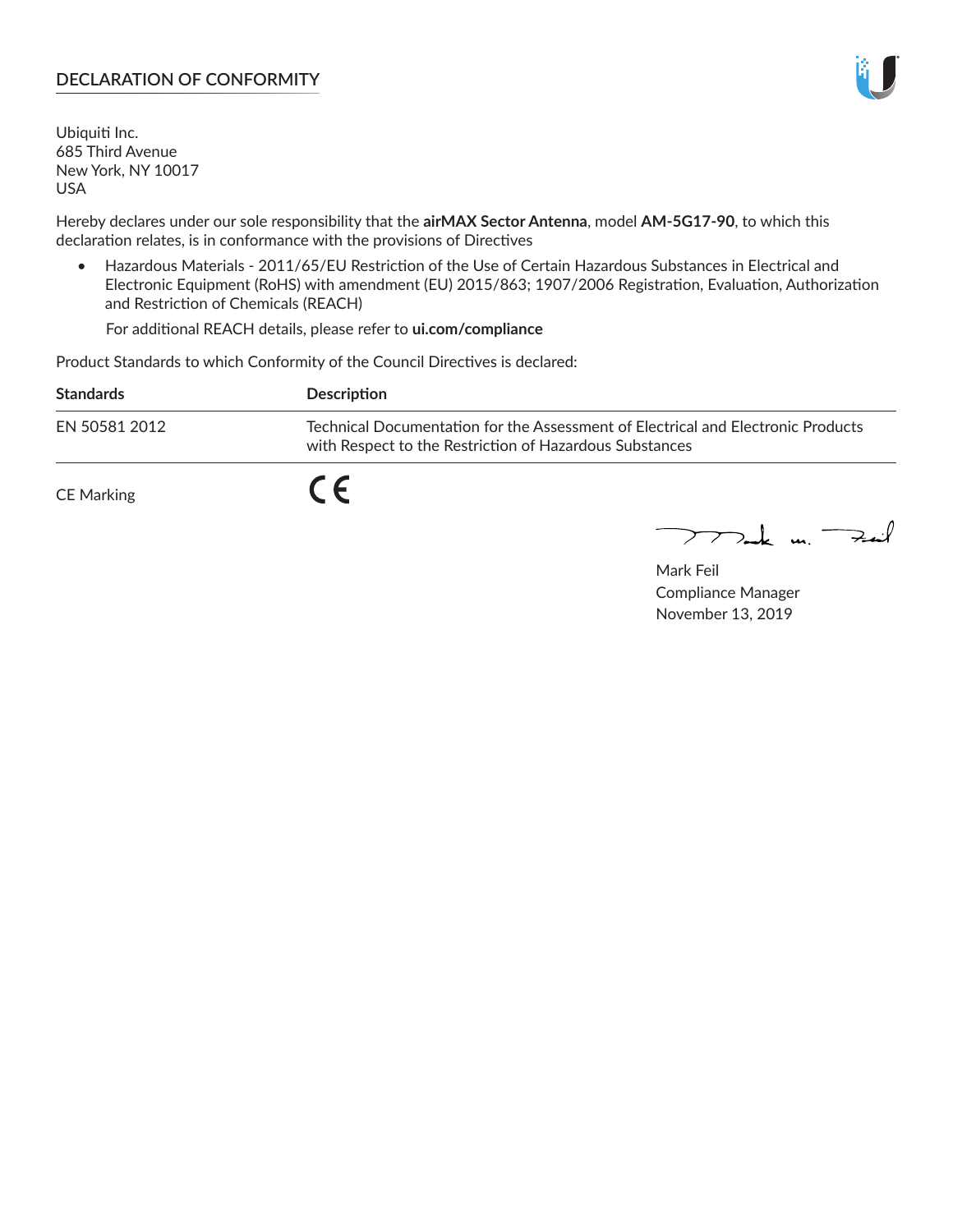## **DECLARATION OF CONFORMITY**

Ubiquiti Inc. 685 Third Avenue New York, NY 10017 USA

Hereby declares under our sole responsibility that the **airMAX Sector Antenna**, model **AM-5G17-90**, to which this declaration relates, is in conformance with the provisions of Directives

• Hazardous Materials - 2011/65/EU Restriction of the Use of Certain Hazardous Substances in Electrical and Electronic Equipment (RoHS) with amendment (EU) 2015/863; 1907/2006 Registration, Evaluation, Authorization and Restriction of Chemicals (REACH)

For additional REACH details, please refer to **ui.com/compliance**

Product Standards to which Conformity of the Council Directives is declared:

| <b>Standards</b>  | Description                                                                                                                                 |
|-------------------|---------------------------------------------------------------------------------------------------------------------------------------------|
| EN 50581 2012     | Technical Documentation for the Assessment of Electrical and Electronic Products<br>with Respect to the Restriction of Hazardous Substances |
| <b>CE Marking</b> |                                                                                                                                             |

 $\sum_{n=1}^{\infty}$  un  $\sum_{n=1}^{\infty}$ 

Mark Feil Compliance Manager November 13, 2019

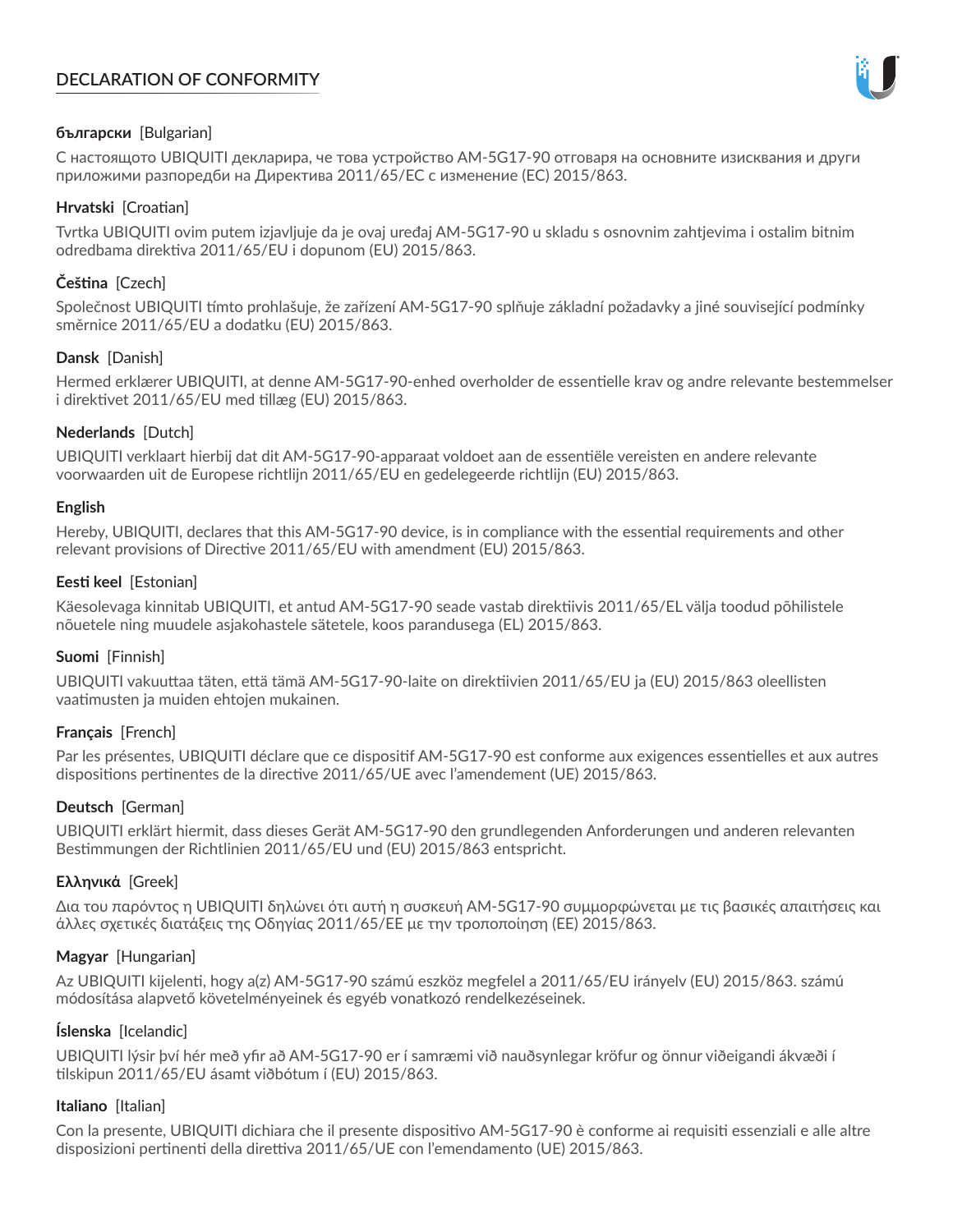# **DECLARATION OF CONFORMITY**



## **български** [Bulgarian]

С настоящото UBIQUITI декларира, че това устройство AM-5G17-90 отговаря на основните изисквания и други приложими разпоредби на Директива 2011/65/ЕС с изменение (ЕС) 2015/863.

## **Hrvatski** [Croatian]

Tvrtka UBIQUITI ovim putem izjavljuje da je ovaj uređaj AM-5G17-90 u skladu s osnovnim zahtjevima i ostalim bitnim odredbama direktiva 2011/65/EU i dopunom (EU) 2015/863.

# **Čeština** [Czech]

Společnost UBIQUITI tímto prohlašuje, že zařízení AM-5G17-90 splňuje základní požadavky a jiné související podmínky směrnice 2011/65/EU a dodatku (EU) 2015/863.

### **Dansk** [Danish]

Hermed erklærer UBIQUITI, at denne AM-5G17-90-enhed overholder de essentielle krav og andre relevante bestemmelser i direktivet 2011/65/EU med tillæg (EU) 2015/863.

### **Nederlands** [Dutch]

UBIQUITI verklaart hierbij dat dit AM-5G17-90-apparaat voldoet aan de essentiële vereisten en andere relevante voorwaarden uit de Europese richtlijn 2011/65/EU en gedelegeerde richtlijn (EU) 2015/863.

#### **English**

Hereby, UBIQUITI, declares that this AM-5G17-90 device, is in compliance with the essential requirements and other relevant provisions of Directive 2011/65/EU with amendment (EU) 2015/863.

### **Eesti keel** [Estonian]

Käesolevaga kinnitab UBIQUITI, et antud AM-5G17-90 seade vastab direktiivis 2011/65/EL välja toodud põhilistele nõuetele ning muudele asjakohastele sätetele, koos parandusega (EL) 2015/863.

## **Suomi** [Finnish]

UBIQUITI vakuuttaa täten, että tämä AM-5G17-90-laite on direktiivien 2011/65/EU ja (EU) 2015/863 oleellisten vaatimusten ja muiden ehtojen mukainen.

#### **Français** [French]

Par les présentes, UBIQUITI déclare que ce dispositif AM-5G17-90 est conforme aux exigences essentielles et aux autres dispositions pertinentes de la directive 2011/65/UE avec l'amendement (UE) 2015/863.

## **Deutsch** [German]

UBIQUITI erklärt hiermit, dass dieses Gerät AM-5G17-90 den grundlegenden Anforderungen und anderen relevanten Bestimmungen der Richtlinien 2011/65/EU und (EU) 2015/863 entspricht.

#### **Ελληνικά** [Greek]

Δια του παρόντος η UBIQUITI δηλώνει ότι αυτή η συσκευή AM-5G17-90 συμμορφώνεται με τις βασικές απαιτήσεις και άλλες σχετικές διατάξεις της Οδηγίας 2011/65/ΕΕ με την τροποποίηση (ΕΕ) 2015/863.

#### **Magyar** [Hungarian]

Az UBIQUITI kijelenti, hogy a(z) AM-5G17-90 számú eszköz megfelel a 2011/65/EU irányelv (EU) 2015/863. számú módosítása alapvető követelményeinek és egyéb vonatkozó rendelkezéseinek.

#### **Íslenska** [Icelandic]

UBIQUITI lýsir því hér með yfir að AM-5G17-90 er í samræmi við nauðsynlegar kröfur og önnur viðeigandi ákvæði í tilskipun 2011/65/EU ásamt viðbótum í (EU) 2015/863.

#### **Italiano** [Italian]

Con la presente, UBIQUITI dichiara che il presente dispositivo AM-5G17-90 è conforme ai requisiti essenziali e alle altre disposizioni pertinenti della direttiva 2011/65/UE con l'emendamento (UE) 2015/863.